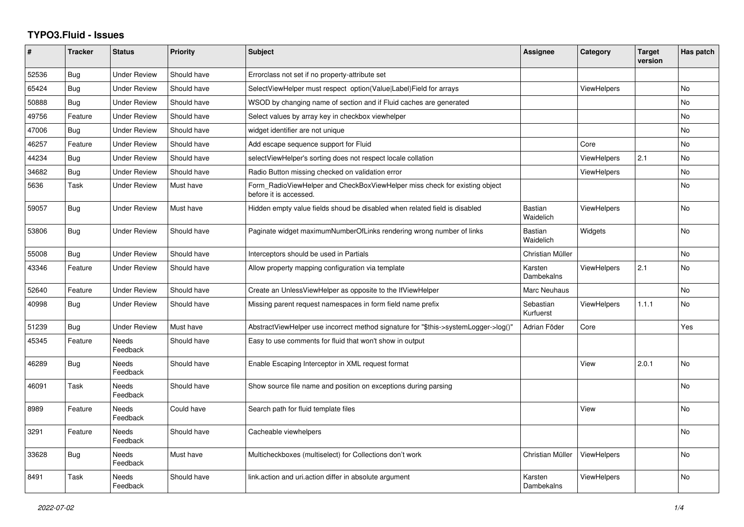## **TYPO3.Fluid - Issues**

| #     | <b>Tracker</b> | <b>Status</b>            | <b>Priority</b> | <b>Subject</b>                                                                                       | <b>Assignee</b>        | Category           | <b>Target</b><br>version | Has patch |
|-------|----------------|--------------------------|-----------------|------------------------------------------------------------------------------------------------------|------------------------|--------------------|--------------------------|-----------|
| 52536 | Bug            | <b>Under Review</b>      | Should have     | Errorclass not set if no property-attribute set                                                      |                        |                    |                          |           |
| 65424 | Bug            | <b>Under Review</b>      | Should have     | SelectViewHelper must respect option(Value Label)Field for arrays                                    |                        | <b>ViewHelpers</b> |                          | <b>No</b> |
| 50888 | Bug            | <b>Under Review</b>      | Should have     | WSOD by changing name of section and if Fluid caches are generated                                   |                        |                    |                          | No        |
| 49756 | Feature        | <b>Under Review</b>      | Should have     | Select values by array key in checkbox viewhelper                                                    |                        |                    |                          | <b>No</b> |
| 47006 | Bug            | <b>Under Review</b>      | Should have     | widget identifier are not unique                                                                     |                        |                    |                          | <b>No</b> |
| 46257 | Feature        | <b>Under Review</b>      | Should have     | Add escape sequence support for Fluid                                                                |                        | Core               |                          | <b>No</b> |
| 44234 | Bug            | <b>Under Review</b>      | Should have     | selectViewHelper's sorting does not respect locale collation                                         |                        | <b>ViewHelpers</b> | 2.1                      | No        |
| 34682 | Bug            | <b>Under Review</b>      | Should have     | Radio Button missing checked on validation error                                                     |                        | ViewHelpers        |                          | <b>No</b> |
| 5636  | Task           | <b>Under Review</b>      | Must have       | Form RadioViewHelper and CheckBoxViewHelper miss check for existing object<br>before it is accessed. |                        |                    |                          | <b>No</b> |
| 59057 | Bug            | <b>Under Review</b>      | Must have       | Hidden empty value fields shoud be disabled when related field is disabled                           | Bastian<br>Waidelich   | <b>ViewHelpers</b> |                          | <b>No</b> |
| 53806 | Bug            | <b>Under Review</b>      | Should have     | Paginate widget maximumNumberOfLinks rendering wrong number of links                                 | Bastian<br>Waidelich   | Widgets            |                          | No        |
| 55008 | Bug            | <b>Under Review</b>      | Should have     | Interceptors should be used in Partials                                                              | Christian Müller       |                    |                          | <b>No</b> |
| 43346 | Feature        | <b>Under Review</b>      | Should have     | Allow property mapping configuration via template                                                    | Karsten<br>Dambekalns  | <b>ViewHelpers</b> | 2.1                      | No        |
| 52640 | Feature        | <b>Under Review</b>      | Should have     | Create an UnlessViewHelper as opposite to the IfViewHelper                                           | Marc Neuhaus           |                    |                          | <b>No</b> |
| 40998 | Bug            | <b>Under Review</b>      | Should have     | Missing parent request namespaces in form field name prefix                                          | Sebastian<br>Kurfuerst | <b>ViewHelpers</b> | 1.1.1                    | <b>No</b> |
| 51239 | Bug            | <b>Under Review</b>      | Must have       | AbstractViewHelper use incorrect method signature for "\$this->systemLogger->log()"                  | Adrian Föder           | Core               |                          | Yes       |
| 45345 | Feature        | <b>Needs</b><br>Feedback | Should have     | Easy to use comments for fluid that won't show in output                                             |                        |                    |                          |           |
| 46289 | Bug            | <b>Needs</b><br>Feedback | Should have     | Enable Escaping Interceptor in XML request format                                                    |                        | View               | 2.0.1                    | No        |
| 46091 | Task           | <b>Needs</b><br>Feedback | Should have     | Show source file name and position on exceptions during parsing                                      |                        |                    |                          | <b>No</b> |
| 8989  | Feature        | Needs<br>Feedback        | Could have      | Search path for fluid template files                                                                 |                        | View               |                          | <b>No</b> |
| 3291  | Feature        | Needs<br>Feedback        | Should have     | Cacheable viewhelpers                                                                                |                        |                    |                          | No        |
| 33628 | <b>Bug</b>     | <b>Needs</b><br>Feedback | Must have       | Multicheckboxes (multiselect) for Collections don't work                                             | Christian Müller       | <b>ViewHelpers</b> |                          | <b>No</b> |
| 8491  | Task           | Needs<br>Feedback        | Should have     | link.action and uri.action differ in absolute argument                                               | Karsten<br>Dambekalns  | ViewHelpers        |                          | <b>No</b> |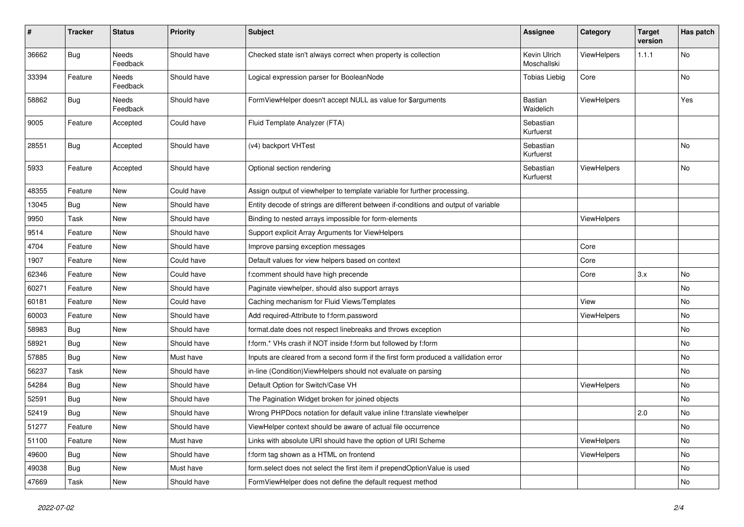| #     | <b>Tracker</b> | <b>Status</b>            | <b>Priority</b> | <b>Subject</b>                                                                       | <b>Assignee</b>             | Category    | <b>Target</b><br>version | Has patch |
|-------|----------------|--------------------------|-----------------|--------------------------------------------------------------------------------------|-----------------------------|-------------|--------------------------|-----------|
| 36662 | <b>Bug</b>     | <b>Needs</b><br>Feedback | Should have     | Checked state isn't always correct when property is collection                       | Kevin Ulrich<br>Moschallski | ViewHelpers | 1.1.1                    | No        |
| 33394 | Feature        | Needs<br>Feedback        | Should have     | Logical expression parser for BooleanNode                                            | <b>Tobias Liebig</b>        | Core        |                          | No        |
| 58862 | <b>Bug</b>     | Needs<br>Feedback        | Should have     | FormViewHelper doesn't accept NULL as value for \$arguments                          | Bastian<br>Waidelich        | ViewHelpers |                          | Yes       |
| 9005  | Feature        | Accepted                 | Could have      | Fluid Template Analyzer (FTA)                                                        | Sebastian<br>Kurfuerst      |             |                          |           |
| 28551 | Bug            | Accepted                 | Should have     | (v4) backport VHTest                                                                 | Sebastian<br>Kurfuerst      |             |                          | No        |
| 5933  | Feature        | Accepted                 | Should have     | Optional section rendering                                                           | Sebastian<br>Kurfuerst      | ViewHelpers |                          | No        |
| 48355 | Feature        | New                      | Could have      | Assign output of viewhelper to template variable for further processing.             |                             |             |                          |           |
| 13045 | <b>Bug</b>     | New                      | Should have     | Entity decode of strings are different between if-conditions and output of variable  |                             |             |                          |           |
| 9950  | Task           | New                      | Should have     | Binding to nested arrays impossible for form-elements                                |                             | ViewHelpers |                          |           |
| 9514  | Feature        | New                      | Should have     | Support explicit Array Arguments for ViewHelpers                                     |                             |             |                          |           |
| 4704  | Feature        | New                      | Should have     | Improve parsing exception messages                                                   |                             | Core        |                          |           |
| 1907  | Feature        | New                      | Could have      | Default values for view helpers based on context                                     |                             | Core        |                          |           |
| 62346 | Feature        | New                      | Could have      | f:comment should have high precende                                                  |                             | Core        | 3.x                      | No        |
| 60271 | Feature        | New                      | Should have     | Paginate viewhelper, should also support arrays                                      |                             |             |                          | No        |
| 60181 | Feature        | New                      | Could have      | Caching mechanism for Fluid Views/Templates                                          |                             | View        |                          | No        |
| 60003 | Feature        | New                      | Should have     | Add required-Attribute to f:form.password                                            |                             | ViewHelpers |                          | No        |
| 58983 | Bug            | New                      | Should have     | format.date does not respect linebreaks and throws exception                         |                             |             |                          | No        |
| 58921 | Bug            | New                      | Should have     | f:form.* VHs crash if NOT inside f:form but followed by f:form                       |                             |             |                          | No        |
| 57885 | <b>Bug</b>     | New                      | Must have       | Inputs are cleared from a second form if the first form produced a vallidation error |                             |             |                          | No        |
| 56237 | Task           | New                      | Should have     | in-line (Condition) View Helpers should not evaluate on parsing                      |                             |             |                          | No        |
| 54284 | Bug            | New                      | Should have     | Default Option for Switch/Case VH                                                    |                             | ViewHelpers |                          | No        |
| 52591 | Bug            | New                      | Should have     | The Pagination Widget broken for joined objects                                      |                             |             |                          | No        |
| 52419 | Bug            | New                      | Should have     | Wrong PHPDocs notation for default value inline f:translate viewhelper               |                             |             | 2.0                      | No        |
| 51277 | Feature        | New                      | Should have     | ViewHelper context should be aware of actual file occurrence                         |                             |             |                          | No        |
| 51100 | Feature        | New                      | Must have       | Links with absolute URI should have the option of URI Scheme                         |                             | ViewHelpers |                          | No        |
| 49600 | Bug            | New                      | Should have     | f:form tag shown as a HTML on frontend                                               |                             | ViewHelpers |                          | No        |
| 49038 | <b>Bug</b>     | New                      | Must have       | form.select does not select the first item if prependOptionValue is used             |                             |             |                          | No        |
| 47669 | Task           | New                      | Should have     | FormViewHelper does not define the default request method                            |                             |             |                          | No        |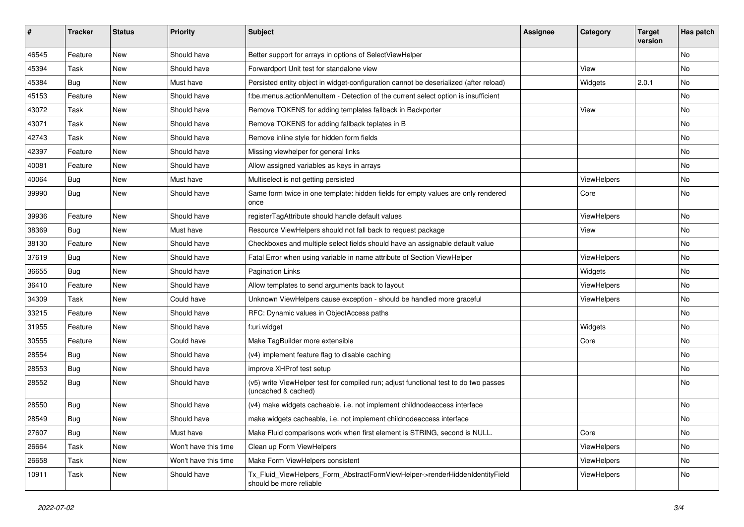| ∦     | <b>Tracker</b> | <b>Status</b> | <b>Priority</b>      | Subject                                                                                                     | <b>Assignee</b> | Category    | <b>Target</b><br>version | Has patch |
|-------|----------------|---------------|----------------------|-------------------------------------------------------------------------------------------------------------|-----------------|-------------|--------------------------|-----------|
| 46545 | Feature        | New           | Should have          | Better support for arrays in options of SelectViewHelper                                                    |                 |             |                          | No        |
| 45394 | Task           | New           | Should have          | Forwardport Unit test for standalone view                                                                   |                 | View        |                          | No        |
| 45384 | <b>Bug</b>     | New           | Must have            | Persisted entity object in widget-configuration cannot be deserialized (after reload)                       |                 | Widgets     | 2.0.1                    | No        |
| 45153 | Feature        | New           | Should have          | f:be.menus.actionMenuItem - Detection of the current select option is insufficient                          |                 |             |                          | No        |
| 43072 | Task           | New           | Should have          | Remove TOKENS for adding templates fallback in Backporter                                                   |                 | View        |                          | No        |
| 43071 | Task           | New           | Should have          | Remove TOKENS for adding fallback teplates in B                                                             |                 |             |                          | No        |
| 42743 | Task           | New           | Should have          | Remove inline style for hidden form fields                                                                  |                 |             |                          | No        |
| 42397 | Feature        | New           | Should have          | Missing viewhelper for general links                                                                        |                 |             |                          | No        |
| 40081 | Feature        | New           | Should have          | Allow assigned variables as keys in arrays                                                                  |                 |             |                          | No        |
| 40064 | Bug            | New           | Must have            | Multiselect is not getting persisted                                                                        |                 | ViewHelpers |                          | No        |
| 39990 | Bug            | New           | Should have          | Same form twice in one template: hidden fields for empty values are only rendered<br>once                   |                 | Core        |                          | No        |
| 39936 | Feature        | New           | Should have          | registerTagAttribute should handle default values                                                           |                 | ViewHelpers |                          | No        |
| 38369 | Bug            | New           | Must have            | Resource ViewHelpers should not fall back to request package                                                |                 | View        |                          | No        |
| 38130 | Feature        | New           | Should have          | Checkboxes and multiple select fields should have an assignable default value                               |                 |             |                          | No        |
| 37619 | <b>Bug</b>     | New           | Should have          | Fatal Error when using variable in name attribute of Section ViewHelper                                     |                 | ViewHelpers |                          | No        |
| 36655 | Bug            | New           | Should have          | <b>Pagination Links</b>                                                                                     |                 | Widgets     |                          | No        |
| 36410 | Feature        | New           | Should have          | Allow templates to send arguments back to layout                                                            |                 | ViewHelpers |                          | No        |
| 34309 | Task           | <b>New</b>    | Could have           | Unknown ViewHelpers cause exception - should be handled more graceful                                       |                 | ViewHelpers |                          | No        |
| 33215 | Feature        | New           | Should have          | RFC: Dynamic values in ObjectAccess paths                                                                   |                 |             |                          | No        |
| 31955 | Feature        | New           | Should have          | f:uri.widget                                                                                                |                 | Widgets     |                          | No        |
| 30555 | Feature        | New           | Could have           | Make TagBuilder more extensible                                                                             |                 | Core        |                          | No        |
| 28554 | <b>Bug</b>     | New           | Should have          | (v4) implement feature flag to disable caching                                                              |                 |             |                          | No        |
| 28553 | <b>Bug</b>     | New           | Should have          | improve XHProf test setup                                                                                   |                 |             |                          | No        |
| 28552 | <b>Bug</b>     | New           | Should have          | (v5) write ViewHelper test for compiled run; adjust functional test to do two passes<br>(uncached & cached) |                 |             |                          | No        |
| 28550 | <b>Bug</b>     | <b>New</b>    | Should have          | (v4) make widgets cacheable, i.e. not implement childnodeaccess interface                                   |                 |             |                          | No        |
| 28549 | Bug            | New           | Should have          | make widgets cacheable, i.e. not implement childnodeaccess interface                                        |                 |             |                          | No        |
| 27607 | <b>Bug</b>     | New           | Must have            | Make Fluid comparisons work when first element is STRING, second is NULL.                                   |                 | Core        |                          | No        |
| 26664 | Task           | New           | Won't have this time | Clean up Form ViewHelpers                                                                                   |                 | ViewHelpers |                          | No        |
| 26658 | Task           | New           | Won't have this time | Make Form ViewHelpers consistent                                                                            |                 | ViewHelpers |                          | No        |
| 10911 | Task           | New           | Should have          | Tx_Fluid_ViewHelpers_Form_AbstractFormViewHelper->renderHiddenIdentityField<br>should be more reliable      |                 | ViewHelpers |                          | No        |